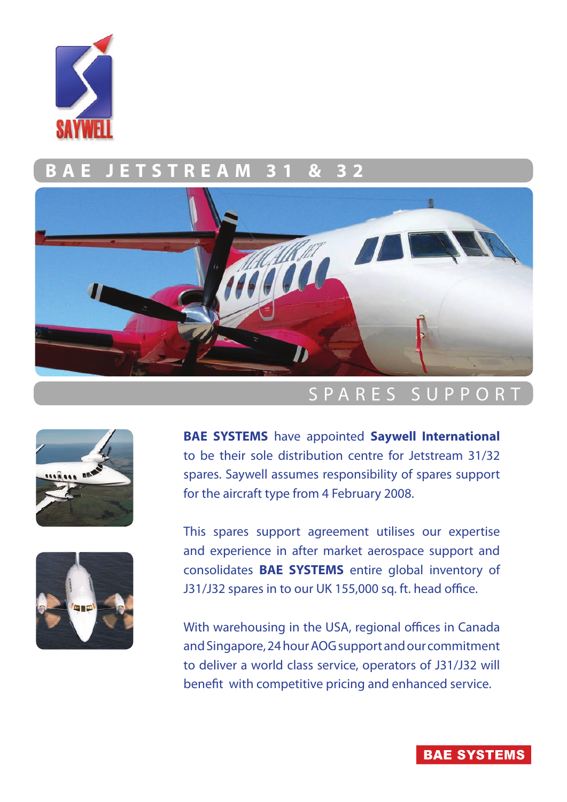

### **FREAM 3**



## S P A R E S S U P P O R T





**BAE SYSTEMS** have appointed **Saywell International**  to be their sole distribution centre for Jetstream 31/32 spares. Saywell assumes responsibility of spares support for the aircraft type from 4 February 2008.

This spares support agreement utilises our expertise and experience in after market aerospace support and consolidates **BAE SYSTEMS** entire global inventory of J31/J32 spares in to our UK 155,000 sq. ft. head office.

With warehousing in the USA, regional offices in Canada and Singapore, 24 hour AOG support and our commitment to deliver a world class service, operators of J31/J32 will benefit with competitive pricing and enhanced service.

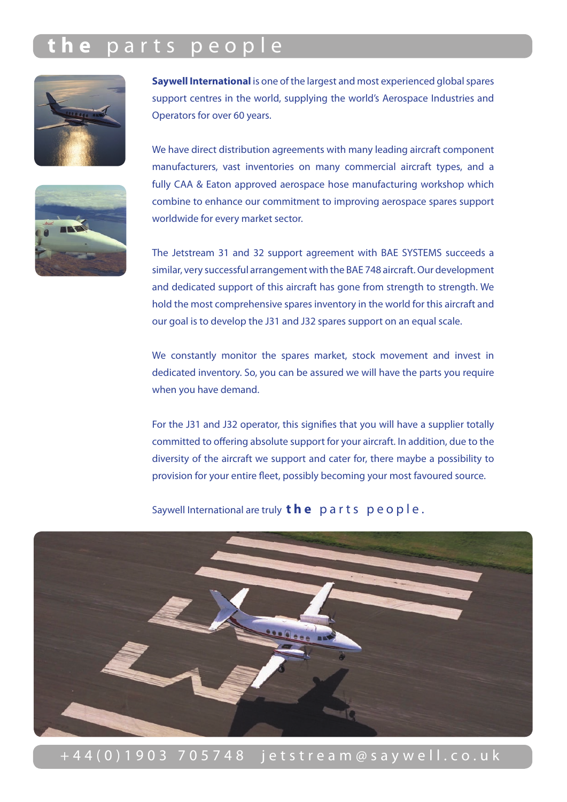# **t h e** p a r t s p e o p l e



**Saywell International** is one of the largest and most experienced global spares support centres in the world, supplying the world's Aerospace Industries and Operators for over 60 years.

We have direct distribution agreements with many leading aircraft component manufacturers, vast inventories on many commercial aircraft types, and a fully CAA & Eaton approved aerospace hose manufacturing workshop which combine to enhance our commitment to improving aerospace spares support worldwide for every market sector.

The Jetstream 31 and 32 support agreement with BAE SYSTEMS succeeds a similar, very successful arrangement with the BAE 748 aircraft. Our development and dedicated support of this aircraft has gone from strength to strength. We hold the most comprehensive spares inventory in the world for this aircraft and our goal is to develop the J31 and J32 spares support on an equal scale.

We constantly monitor the spares market, stock movement and invest in dedicated inventory. So, you can be assured we will have the parts you require when you have demand.

For the J31 and J32 operator, this signifies that you will have a supplier totally committed to offering absolute support for your aircraft. In addition, due to the diversity of the aircraft we support and cater for, there maybe a possibility to provision for your entire fleet, possibly becoming your most favoured source.

Saywell International are truly **the** parts people.



+ 4 4 ( 0 ) 1 9 0 3 7 0 5 7 4 8 j e t s t r e a m @ s a y w e l l . c o . u k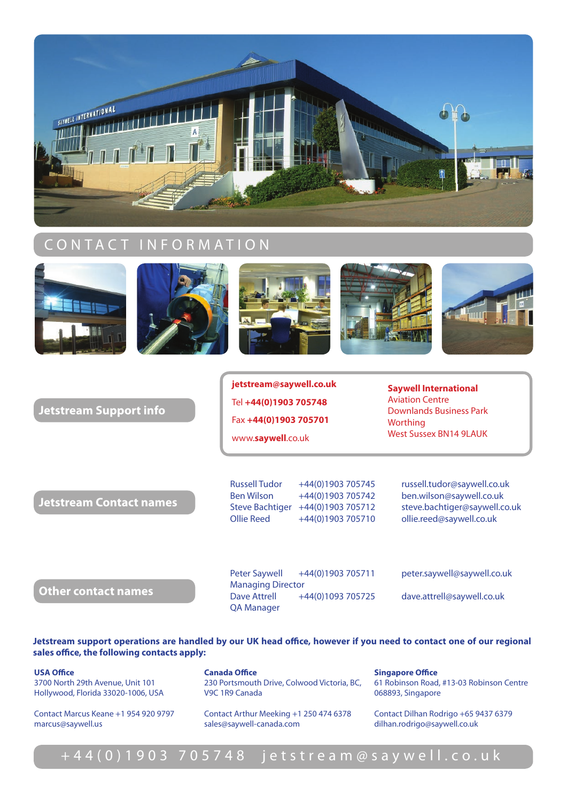

### CONTACT INFORMATION











#### **Jetstream Support info**

**jetstream@saywell.co.uk** Tel **+44(0)1903 705748** Fax **+44(0)1903 705701** www.**saywell**.co.uk

**Saywell International** Aviation Centre Downlands Business Park **Worthing** West Sussex BN14 9LAUK

**Jetstream Contact names**

Russell Tudor +44(0)1903 705745 russell.tudor@saywell.co.uk Ben Wilson +44(0)1903 705742 ben.wilson@saywell.co.uk Steve Bachtiger +44(0)1903 705712 steve.bachtiger@saywell.co.uk Ollie Reed +44(0)1903 705710 ollie.reed@saywell.co.uk

**Other contact names**

Peter Saywell +44(0)1903 705711 peter.saywell@saywell.co.uk Managing Director Dave Attrell +44(0)1093 705725 dave.attrell@saywell.co.uk QA Manager

**Jetstream support operations are handled by our UK head office, however if you need to contact one of our regional sales office, the following contacts apply:**

**USA Office** 3700 North 29th Avenue, Unit 101 Hollywood, Florida 33020-1006, USA

Contact Marcus Keane +1 954 920 9797 marcus@saywell.us

**Canada Office** 230 Portsmouth Drive, Colwood Victoria, BC, V9C 1R9 Canada

Contact Arthur Meeking +1 250 474 6378 sales@saywell-canada.com

**Singapore Office** 61 Robinson Road, #13-03 Robinson Centre 068893, Singapore

Contact Dilhan Rodrigo +65 9437 6379 dilhan.rodrigo@saywell.co.uk

### + 4 4 ( 0 ) 1 9 0 3 7 0 5 7 4 8 j e t s t r e a m @ s a y w e l l . c o . u k